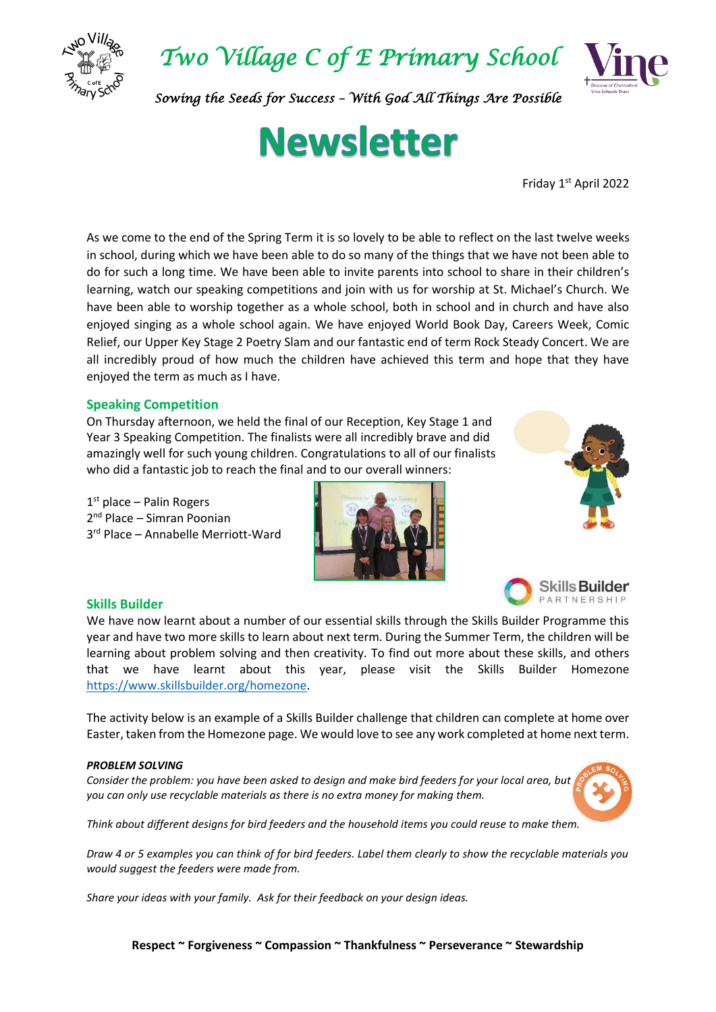

*Two Village C of E Primary School* 



*Sowing the Seeds for Success – With God All Things Are Possible* 

# **Newsletter**

Friday 1st April 2022

As we come to the end of the Spring Term it is so lovely to be able to reflect on the last twelve weeks in school, during which we have been able to do so many of the things that we have not been able to do for such a long time. We have been able to invite parents into school to share in their children's learning, watch our speaking competitions and join with us for worship at St. Michael's Church. We have been able to worship together as a whole school, both in school and in church and have also enjoyed singing as a whole school again. We have enjoyed World Book Day, Careers Week, Comic Relief, our Upper Key Stage 2 Poetry Slam and our fantastic end of term Rock Steady Concert. We are all incredibly proud of how much the children have achieved this term and hope that they have enjoyed the term as much as I have.

## **Speaking Competition**

On Thursday afternoon, we held the final of our Reception, Key Stage 1 and Year 3 Speaking Competition. The finalists were all incredibly brave and did amazingly well for such young children. Congratulations to all of our finalists who did a fantastic job to reach the final and to our overall winners:

1st place - Palin Rogers 2<sup>nd</sup> Place – Simran Poonian 3 rd Place – Annabelle Merriott-Ward







#### **Skills Builder**

We have now learnt about a number of our essential skills through the Skills Builder Programme this year and have two more skills to learn about next term. During the Summer Term, the children will be learning about problem solving and then creativity. To find out more about these skills, and others that we have learnt about this year, please visit the Skills Builder Homezone [https://www.skillsbuilder.org/homezone.](https://www.skillsbuilder.org/homezone)

The activity below is an example of a Skills Builder challenge that children can complete at home over Easter, taken from the Homezone page. We would love to see any work completed at home next term.

#### *PROBLEM SOLVING*

*Consider the problem: you have been asked to design and make bird feeders for your local area, but you can only use recyclable materials as there is no extra money for making them.*



*Think about different designs for bird feeders and the household items you could reuse to make them.* 

*Draw 4 or 5 examples you can think of for bird feeders. Label them clearly to show the recyclable materials you would suggest the feeders were made from.* 

*Share your ideas with your family. Ask for their feedback on your design ideas.*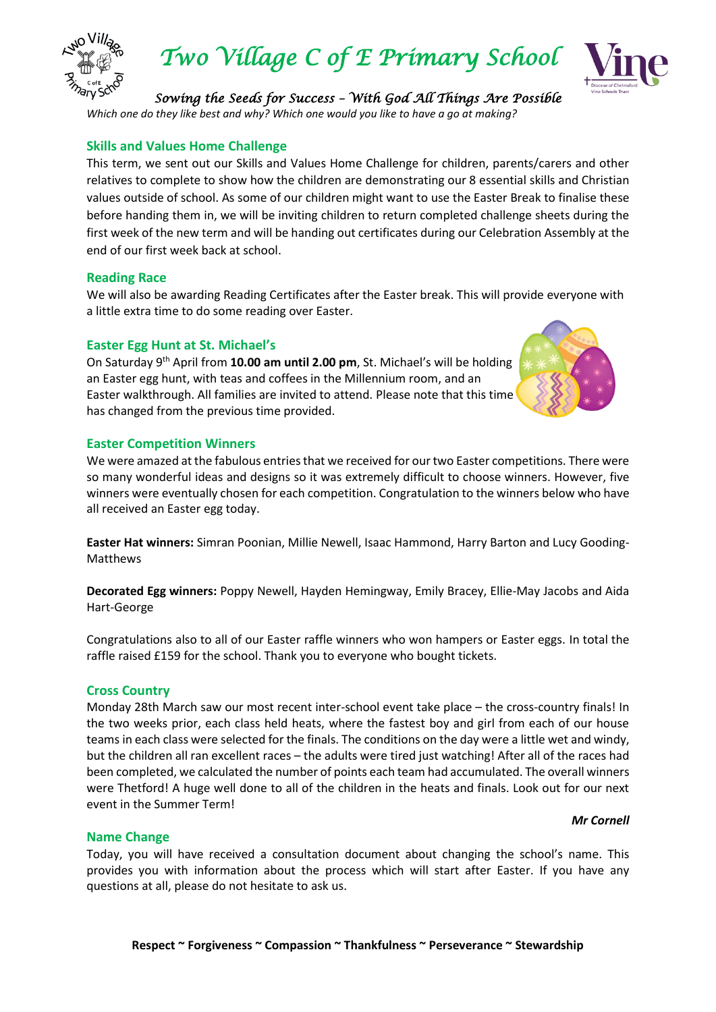

*Two Village C of E Primary School* 



# *Sowing the Seeds for Success – With God All Things Are Possible*

*Which one do they like best and why? Which one would you like to have a go at making?*

## **Skills and Values Home Challenge**

This term, we sent out our Skills and Values Home Challenge for children, parents/carers and other relatives to complete to show how the children are demonstrating our 8 essential skills and Christian values outside of school. As some of our children might want to use the Easter Break to finalise these before handing them in, we will be inviting children to return completed challenge sheets during the first week of the new term and will be handing out certificates during our Celebration Assembly at the end of our first week back at school.

#### **Reading Race**

We will also be awarding Reading Certificates after the Easter break. This will provide everyone with a little extra time to do some reading over Easter.

## **Easter Egg Hunt at St. Michael's**

On Saturday 9th April from **10.00 am until 2.00 pm**, St. Michael's will be holding an Easter egg hunt, with teas and coffees in the Millennium room, and an Easter walkthrough. All families are invited to attend. Please note that this time has changed from the previous time provided.



#### **Easter Competition Winners**

We were amazed at the fabulous entries that we received for our two Easter competitions. There were so many wonderful ideas and designs so it was extremely difficult to choose winners. However, five winners were eventually chosen for each competition. Congratulation to the winners below who have all received an Easter egg today.

**Easter Hat winners:** Simran Poonian, Millie Newell, Isaac Hammond, Harry Barton and Lucy Gooding-Matthews

**Decorated Egg winners:** Poppy Newell, Hayden Hemingway, Emily Bracey, Ellie-May Jacobs and Aida Hart-George

Congratulations also to all of our Easter raffle winners who won hampers or Easter eggs. In total the raffle raised £159 for the school. Thank you to everyone who bought tickets.

#### **Cross Country**

Monday 28th March saw our most recent inter-school event take place – the cross-country finals! In the two weeks prior, each class held heats, where the fastest boy and girl from each of our house teams in each class were selected for the finals. The conditions on the day were a little wet and windy, but the children all ran excellent races – the adults were tired just watching! After all of the races had been completed, we calculated the number of points each team had accumulated. The overall winners were Thetford! A huge well done to all of the children in the heats and finals. Look out for our next event in the Summer Term!

#### *Mr Cornell*

#### **Name Change**

Today, you will have received a consultation document about changing the school's name. This provides you with information about the process which will start after Easter. If you have any questions at all, please do not hesitate to ask us.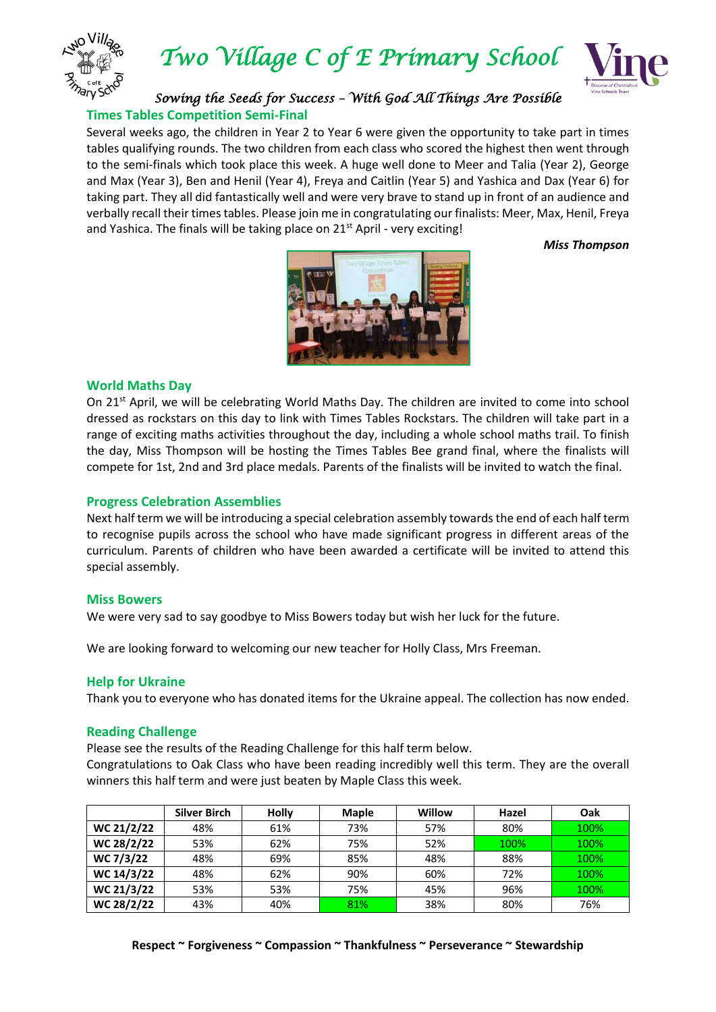

*Two Village C of E Primary School* 



*Sowing the Seeds for Success – With God All Things Are Possible*  **Times Tables Competition Semi-Final**

Several weeks ago, the children in Year 2 to Year 6 were given the opportunity to take part in times tables qualifying rounds. The two children from each class who scored the highest then went through to the semi-finals which took place this week. A huge well done to Meer and Talia (Year 2), George and Max (Year 3), Ben and Henil (Year 4), Freya and Caitlin (Year 5) and Yashica and Dax (Year 6) for taking part. They all did fantastically well and were very brave to stand up in front of an audience and verbally recall their times tables. Please join me in congratulating our finalists: Meer, Max, Henil, Freya and Yashica. The finals will be taking place on 21<sup>st</sup> April - very exciting!

*Miss Thompson*



#### **World Maths Day**

On 21<sup>st</sup> April, we will be celebrating World Maths Day. The children are invited to come into school dressed as rockstars on this day to link with Times Tables Rockstars. The children will take part in a range of exciting maths activities throughout the day, including a whole school maths trail. To finish the day, Miss Thompson will be hosting the Times Tables Bee grand final, where the finalists will compete for 1st, 2nd and 3rd place medals. Parents of the finalists will be invited to watch the final.

#### **Progress Celebration Assemblies**

Next half term we will be introducing a special celebration assembly towards the end of each half term to recognise pupils across the school who have made significant progress in different areas of the curriculum. Parents of children who have been awarded a certificate will be invited to attend this special assembly.

#### **Miss Bowers**

We were very sad to say goodbye to Miss Bowers today but wish her luck for the future.

We are looking forward to welcoming our new teacher for Holly Class, Mrs Freeman.

#### **Help for Ukraine**

Thank you to everyone who has donated items for the Ukraine appeal. The collection has now ended.

#### **Reading Challenge**

Please see the results of the Reading Challenge for this half term below.

Congratulations to Oak Class who have been reading incredibly well this term. They are the overall winners this half term and were just beaten by Maple Class this week.

|            | Silver Birch | Holly | <b>Maple</b> | Willow | Hazel | Oak  |
|------------|--------------|-------|--------------|--------|-------|------|
| WC 21/2/22 | 48%          | 61%   | 73%          | 57%    | 80%   | 100% |
| WC 28/2/22 | 53%          | 62%   | 75%          | 52%    | 100%  | 100% |
| WC 7/3/22  | 48%          | 69%   | 85%          | 48%    | 88%   | 100% |
| WC 14/3/22 | 48%          | 62%   | 90%          | 60%    | 72%   | 100% |
| WC 21/3/22 | 53%          | 53%   | 75%          | 45%    | 96%   | 100% |
| WC 28/2/22 | 43%          | 40%   | 81%          | 38%    | 80%   | 76%  |